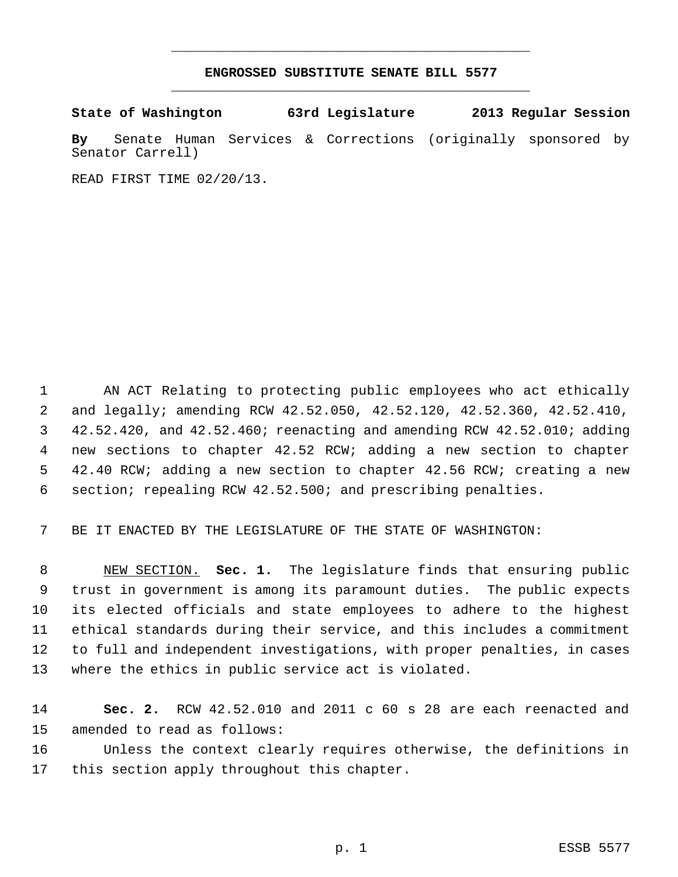## **ENGROSSED SUBSTITUTE SENATE BILL 5577** \_\_\_\_\_\_\_\_\_\_\_\_\_\_\_\_\_\_\_\_\_\_\_\_\_\_\_\_\_\_\_\_\_\_\_\_\_\_\_\_\_\_\_\_\_

\_\_\_\_\_\_\_\_\_\_\_\_\_\_\_\_\_\_\_\_\_\_\_\_\_\_\_\_\_\_\_\_\_\_\_\_\_\_\_\_\_\_\_\_\_

**State of Washington 63rd Legislature 2013 Regular Session**

**By** Senate Human Services & Corrections (originally sponsored by Senator Carrell)

READ FIRST TIME 02/20/13.

 AN ACT Relating to protecting public employees who act ethically and legally; amending RCW 42.52.050, 42.52.120, 42.52.360, 42.52.410, 42.52.420, and 42.52.460; reenacting and amending RCW 42.52.010; adding new sections to chapter 42.52 RCW; adding a new section to chapter 42.40 RCW; adding a new section to chapter 42.56 RCW; creating a new section; repealing RCW 42.52.500; and prescribing penalties.

BE IT ENACTED BY THE LEGISLATURE OF THE STATE OF WASHINGTON:

 NEW SECTION. **Sec. 1.** The legislature finds that ensuring public trust in government is among its paramount duties. The public expects its elected officials and state employees to adhere to the highest ethical standards during their service, and this includes a commitment to full and independent investigations, with proper penalties, in cases where the ethics in public service act is violated.

 **Sec. 2.** RCW 42.52.010 and 2011 c 60 s 28 are each reenacted and amended to read as follows: Unless the context clearly requires otherwise, the definitions in

this section apply throughout this chapter.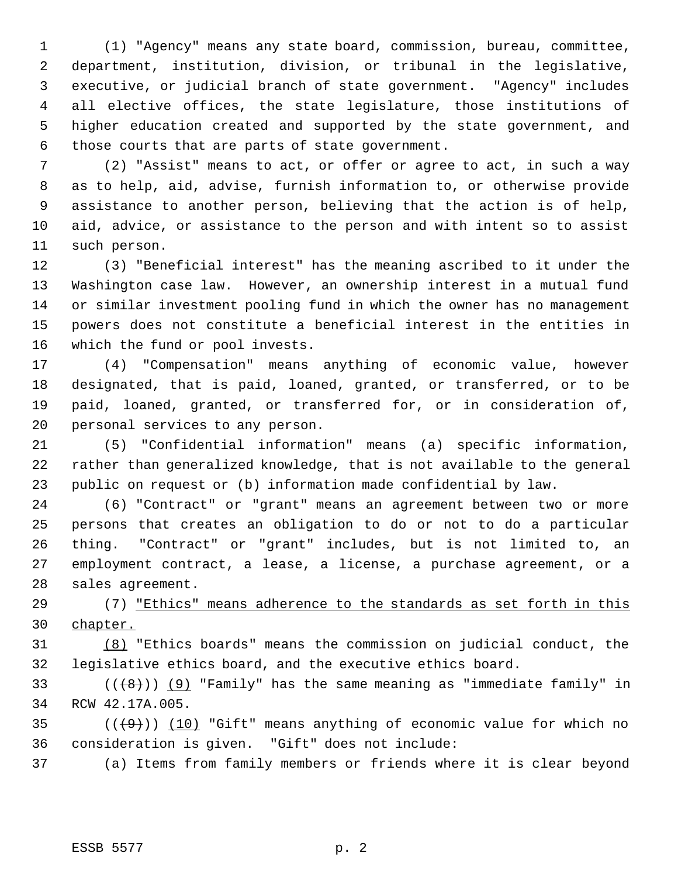(1) "Agency" means any state board, commission, bureau, committee, department, institution, division, or tribunal in the legislative, executive, or judicial branch of state government. "Agency" includes all elective offices, the state legislature, those institutions of higher education created and supported by the state government, and those courts that are parts of state government.

 (2) "Assist" means to act, or offer or agree to act, in such a way as to help, aid, advise, furnish information to, or otherwise provide assistance to another person, believing that the action is of help, aid, advice, or assistance to the person and with intent so to assist such person.

 (3) "Beneficial interest" has the meaning ascribed to it under the Washington case law. However, an ownership interest in a mutual fund or similar investment pooling fund in which the owner has no management powers does not constitute a beneficial interest in the entities in which the fund or pool invests.

 (4) "Compensation" means anything of economic value, however designated, that is paid, loaned, granted, or transferred, or to be paid, loaned, granted, or transferred for, or in consideration of, personal services to any person.

 (5) "Confidential information" means (a) specific information, rather than generalized knowledge, that is not available to the general public on request or (b) information made confidential by law.

 (6) "Contract" or "grant" means an agreement between two or more persons that creates an obligation to do or not to do a particular thing. "Contract" or "grant" includes, but is not limited to, an employment contract, a lease, a license, a purchase agreement, or a sales agreement.

 (7) "Ethics" means adherence to the standards as set forth in this chapter.

 (8) "Ethics boards" means the commission on judicial conduct, the legislative ethics board, and the executive ethics board.

33 ( $(\langle 48 \rangle)$ ) (9) "Family" has the same meaning as "immediate family" in RCW 42.17A.005.

35  $((+9))$  (10) "Gift" means anything of economic value for which no consideration is given. "Gift" does not include:

(a) Items from family members or friends where it is clear beyond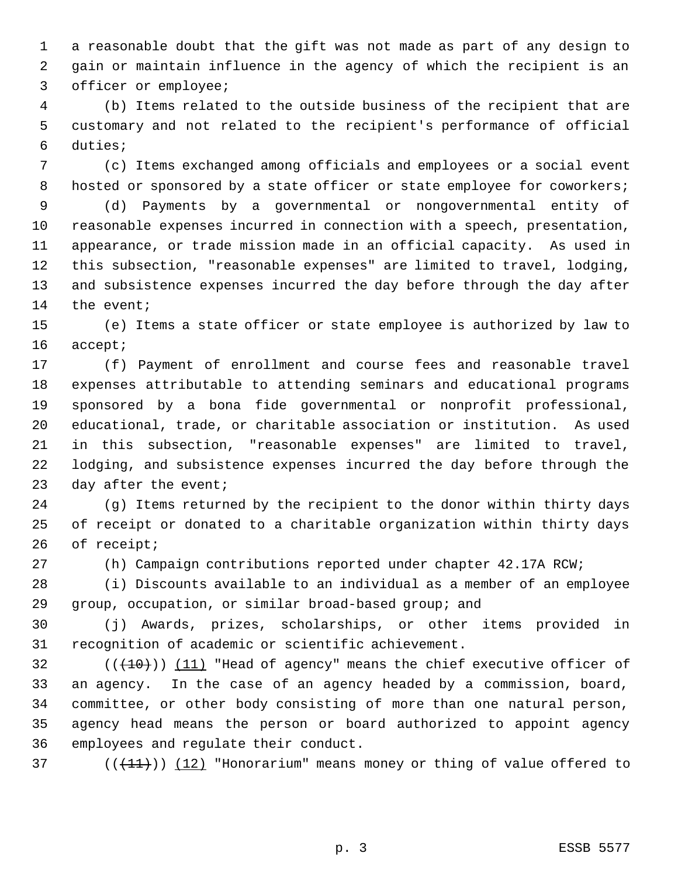a reasonable doubt that the gift was not made as part of any design to gain or maintain influence in the agency of which the recipient is an officer or employee;

 (b) Items related to the outside business of the recipient that are customary and not related to the recipient's performance of official duties;

 (c) Items exchanged among officials and employees or a social event 8 hosted or sponsored by a state officer or state employee for coworkers;

 (d) Payments by a governmental or nongovernmental entity of reasonable expenses incurred in connection with a speech, presentation, appearance, or trade mission made in an official capacity. As used in this subsection, "reasonable expenses" are limited to travel, lodging, and subsistence expenses incurred the day before through the day after 14 the event;

 (e) Items a state officer or state employee is authorized by law to accept;

 (f) Payment of enrollment and course fees and reasonable travel expenses attributable to attending seminars and educational programs sponsored by a bona fide governmental or nonprofit professional, educational, trade, or charitable association or institution. As used in this subsection, "reasonable expenses" are limited to travel, lodging, and subsistence expenses incurred the day before through the 23 day after the event;

 (g) Items returned by the recipient to the donor within thirty days of receipt or donated to a charitable organization within thirty days of receipt;

(h) Campaign contributions reported under chapter 42.17A RCW;

 (i) Discounts available to an individual as a member of an employee group, occupation, or similar broad-based group; and

 (j) Awards, prizes, scholarships, or other items provided in recognition of academic or scientific achievement.

 $((+10))$  (11) "Head of agency" means the chief executive officer of an agency. In the case of an agency headed by a commission, board, committee, or other body consisting of more than one natural person, agency head means the person or board authorized to appoint agency employees and regulate their conduct.

37  $((+11))$   $(12)$  "Honorarium" means money or thing of value offered to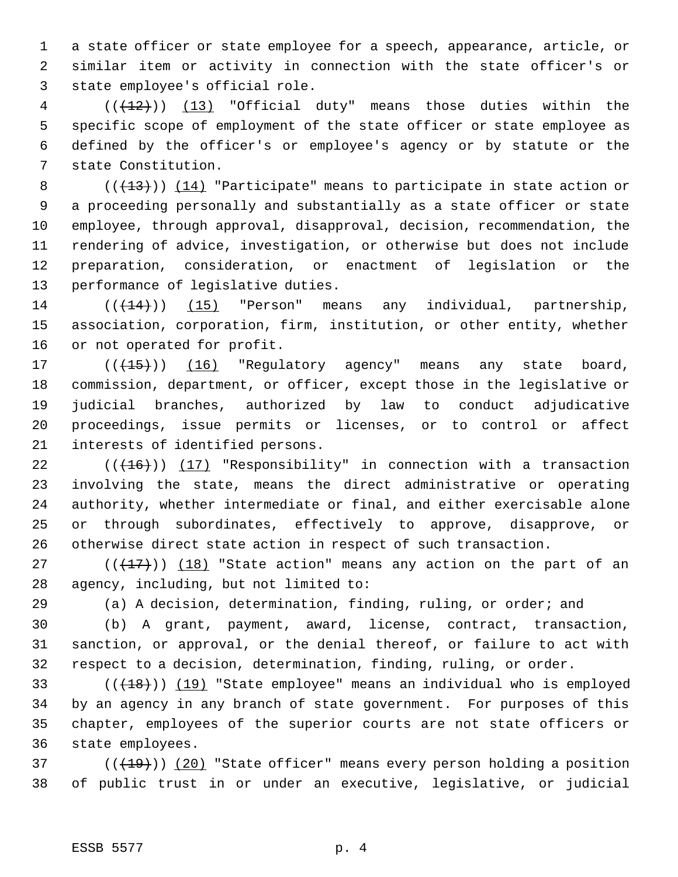a state officer or state employee for a speech, appearance, article, or similar item or activity in connection with the state officer's or state employee's official role.

4 (( $(12)$ )) (13) "Official duty" means those duties within the specific scope of employment of the state officer or state employee as defined by the officer's or employee's agency or by statute or the state Constitution.

8 (( $(13)$ )) (14) "Participate" means to participate in state action or a proceeding personally and substantially as a state officer or state employee, through approval, disapproval, decision, recommendation, the rendering of advice, investigation, or otherwise but does not include preparation, consideration, or enactment of legislation or the performance of legislative duties.

14  $((+14))$  (15) "Person" means any individual, partnership, association, corporation, firm, institution, or other entity, whether or not operated for profit.

17 (( $\left(\frac{15}{15}\right)$ ) (16) "Regulatory agency" means any state board, commission, department, or officer, except those in the legislative or judicial branches, authorized by law to conduct adjudicative proceedings, issue permits or licenses, or to control or affect interests of identified persons.

 $((+16))$  (17) "Responsibility" in connection with a transaction involving the state, means the direct administrative or operating authority, whether intermediate or final, and either exercisable alone or through subordinates, effectively to approve, disapprove, or otherwise direct state action in respect of such transaction.

 $((+17))$   $(18)$  "State action" means any action on the part of an agency, including, but not limited to:

(a) A decision, determination, finding, ruling, or order; and

 (b) A grant, payment, award, license, contract, transaction, sanction, or approval, or the denial thereof, or failure to act with respect to a decision, determination, finding, ruling, or order.

 $((+18))$   $(19)$  "State employee" means an individual who is employed by an agency in any branch of state government. For purposes of this chapter, employees of the superior courts are not state officers or state employees.

37  $((+19))$   $(20)$  "State officer" means every person holding a position of public trust in or under an executive, legislative, or judicial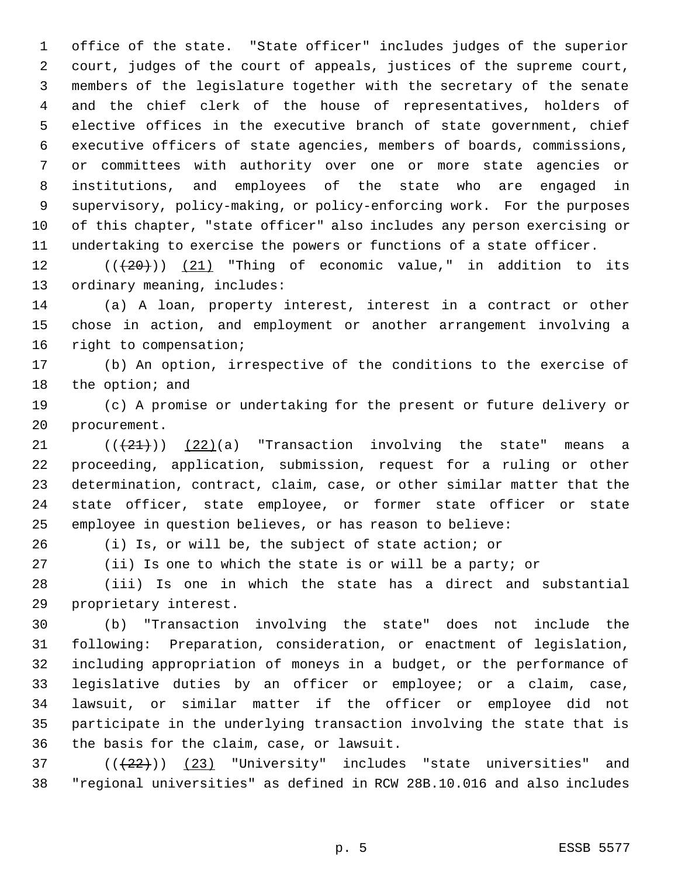office of the state. "State officer" includes judges of the superior court, judges of the court of appeals, justices of the supreme court, members of the legislature together with the secretary of the senate and the chief clerk of the house of representatives, holders of elective offices in the executive branch of state government, chief executive officers of state agencies, members of boards, commissions, or committees with authority over one or more state agencies or institutions, and employees of the state who are engaged in supervisory, policy-making, or policy-enforcing work. For the purposes of this chapter, "state officer" also includes any person exercising or undertaking to exercise the powers or functions of a state officer.

12  $((+20))$   $(21)$  "Thing of economic value," in addition to its ordinary meaning, includes:

 (a) A loan, property interest, interest in a contract or other chose in action, and employment or another arrangement involving a right to compensation;

 (b) An option, irrespective of the conditions to the exercise of 18 the option; and

 (c) A promise or undertaking for the present or future delivery or procurement.

 $((21))$   $(22)(a)$  "Transaction involving the state" means a proceeding, application, submission, request for a ruling or other determination, contract, claim, case, or other similar matter that the state officer, state employee, or former state officer or state employee in question believes, or has reason to believe:

(i) Is, or will be, the subject of state action; or

(ii) Is one to which the state is or will be a party; or

 (iii) Is one in which the state has a direct and substantial proprietary interest.

 (b) "Transaction involving the state" does not include the following: Preparation, consideration, or enactment of legislation, including appropriation of moneys in a budget, or the performance of legislative duties by an officer or employee; or a claim, case, lawsuit, or similar matter if the officer or employee did not participate in the underlying transaction involving the state that is the basis for the claim, case, or lawsuit.

 ( $(\frac{22}{1})$ )  $(23)$  "University" includes "state universities" and "regional universities" as defined in RCW 28B.10.016 and also includes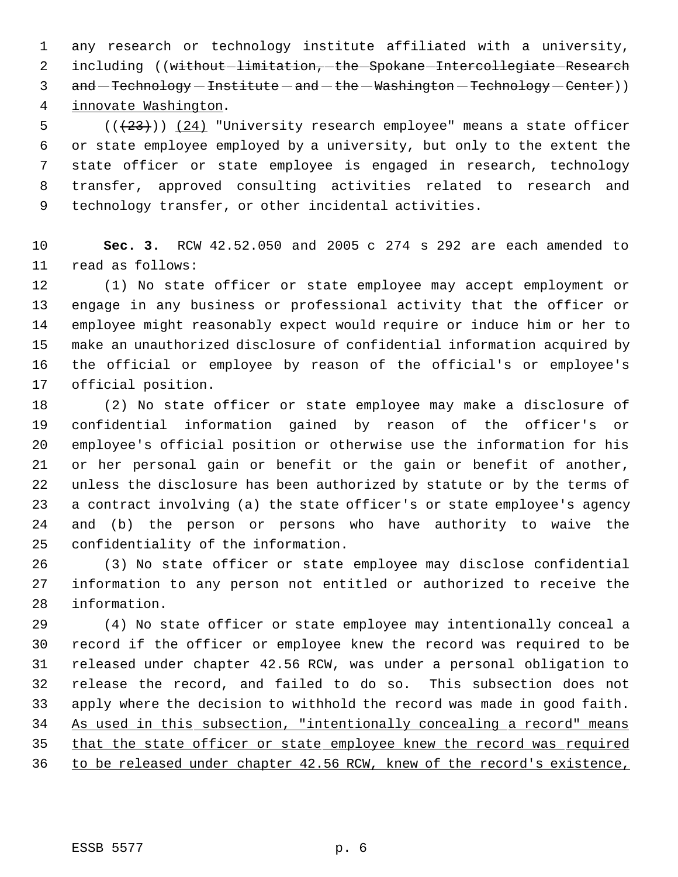any research or technology institute affiliated with a university, 2 including ((without-limitation, the Spokane Intercollegiate Research 3 and - Technology - Institute - and - the - Washington - Technology - Center)) innovate Washington.

 $((+23))$   $(24)$  "University research employee" means a state officer or state employee employed by a university, but only to the extent the state officer or state employee is engaged in research, technology transfer, approved consulting activities related to research and technology transfer, or other incidental activities.

 **Sec. 3.** RCW 42.52.050 and 2005 c 274 s 292 are each amended to read as follows:

 (1) No state officer or state employee may accept employment or engage in any business or professional activity that the officer or employee might reasonably expect would require or induce him or her to make an unauthorized disclosure of confidential information acquired by the official or employee by reason of the official's or employee's official position.

 (2) No state officer or state employee may make a disclosure of confidential information gained by reason of the officer's or employee's official position or otherwise use the information for his or her personal gain or benefit or the gain or benefit of another, unless the disclosure has been authorized by statute or by the terms of a contract involving (a) the state officer's or state employee's agency and (b) the person or persons who have authority to waive the confidentiality of the information.

 (3) No state officer or state employee may disclose confidential information to any person not entitled or authorized to receive the information.

 (4) No state officer or state employee may intentionally conceal a record if the officer or employee knew the record was required to be released under chapter 42.56 RCW, was under a personal obligation to release the record, and failed to do so. This subsection does not apply where the decision to withhold the record was made in good faith. As used in this subsection, "intentionally concealing a record" means that the state officer or state employee knew the record was required to be released under chapter 42.56 RCW, knew of the record's existence,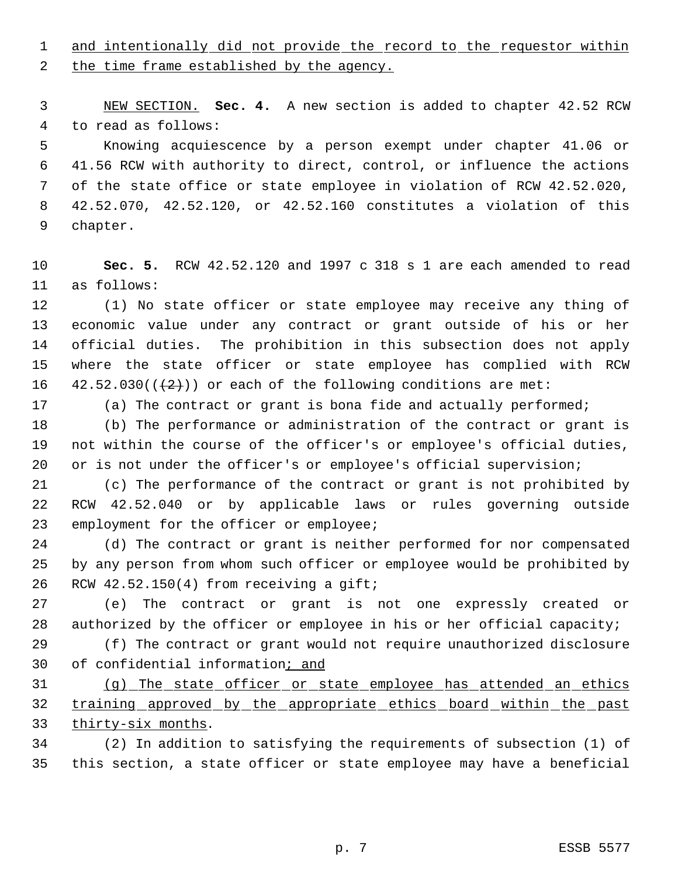1 and intentionally did not provide the record to the requestor within

2 the time frame established by the agency.

 NEW SECTION. **Sec. 4.** A new section is added to chapter 42.52 RCW to read as follows:

 Knowing acquiescence by a person exempt under chapter 41.06 or 41.56 RCW with authority to direct, control, or influence the actions of the state office or state employee in violation of RCW 42.52.020, 42.52.070, 42.52.120, or 42.52.160 constitutes a violation of this chapter.

 **Sec. 5.** RCW 42.52.120 and 1997 c 318 s 1 are each amended to read as follows:

 (1) No state officer or state employee may receive any thing of economic value under any contract or grant outside of his or her official duties. The prohibition in this subsection does not apply where the state officer or state employee has complied with RCW 16 42.52.030( $(\frac{2}{2})$ ) or each of the following conditions are met:

(a) The contract or grant is bona fide and actually performed;

 (b) The performance or administration of the contract or grant is not within the course of the officer's or employee's official duties, 20 or is not under the officer's or employee's official supervision;

 (c) The performance of the contract or grant is not prohibited by RCW 42.52.040 or by applicable laws or rules governing outside employment for the officer or employee;

 (d) The contract or grant is neither performed for nor compensated by any person from whom such officer or employee would be prohibited by RCW 42.52.150(4) from receiving a gift;

 (e) The contract or grant is not one expressly created or 28 authorized by the officer or employee in his or her official capacity;

 (f) The contract or grant would not require unauthorized disclosure of confidential information; and

 (g) The state officer or state employee has attended an ethics 32 training approved by the appropriate ethics board within the past 33 thirty-six months.

 (2) In addition to satisfying the requirements of subsection (1) of this section, a state officer or state employee may have a beneficial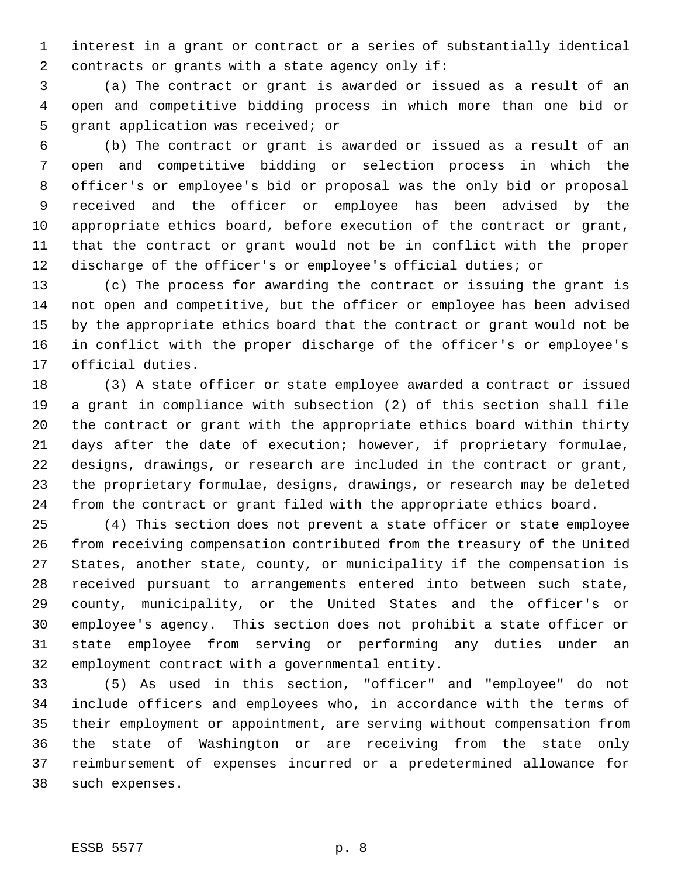interest in a grant or contract or a series of substantially identical contracts or grants with a state agency only if:

 (a) The contract or grant is awarded or issued as a result of an open and competitive bidding process in which more than one bid or grant application was received; or

 (b) The contract or grant is awarded or issued as a result of an open and competitive bidding or selection process in which the officer's or employee's bid or proposal was the only bid or proposal received and the officer or employee has been advised by the appropriate ethics board, before execution of the contract or grant, that the contract or grant would not be in conflict with the proper discharge of the officer's or employee's official duties; or

 (c) The process for awarding the contract or issuing the grant is not open and competitive, but the officer or employee has been advised by the appropriate ethics board that the contract or grant would not be in conflict with the proper discharge of the officer's or employee's official duties.

 (3) A state officer or state employee awarded a contract or issued a grant in compliance with subsection (2) of this section shall file the contract or grant with the appropriate ethics board within thirty days after the date of execution; however, if proprietary formulae, designs, drawings, or research are included in the contract or grant, the proprietary formulae, designs, drawings, or research may be deleted from the contract or grant filed with the appropriate ethics board.

 (4) This section does not prevent a state officer or state employee from receiving compensation contributed from the treasury of the United States, another state, county, or municipality if the compensation is received pursuant to arrangements entered into between such state, county, municipality, or the United States and the officer's or employee's agency. This section does not prohibit a state officer or state employee from serving or performing any duties under an employment contract with a governmental entity.

 (5) As used in this section, "officer" and "employee" do not include officers and employees who, in accordance with the terms of their employment or appointment, are serving without compensation from the state of Washington or are receiving from the state only reimbursement of expenses incurred or a predetermined allowance for such expenses.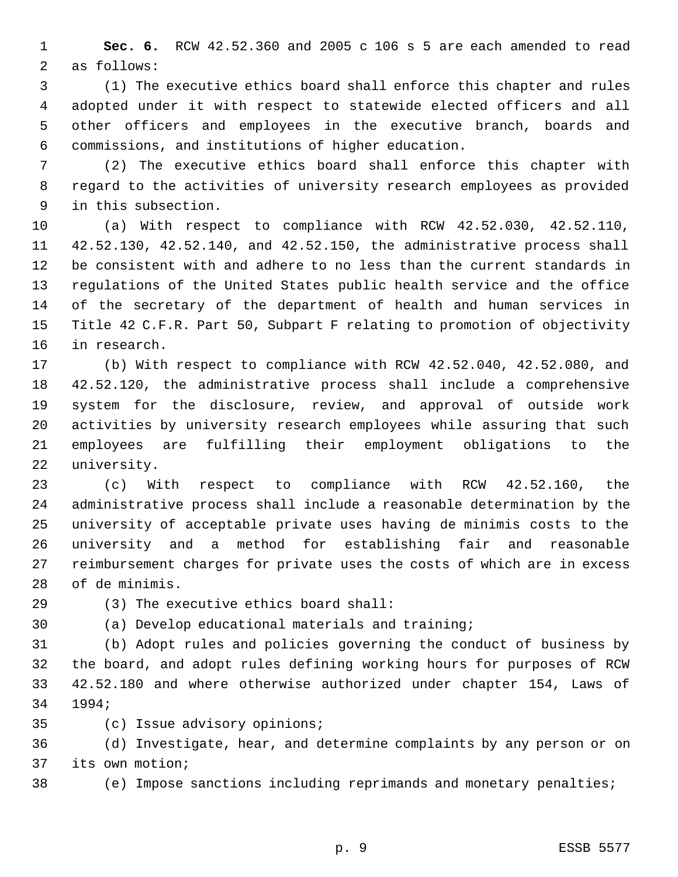**Sec. 6.** RCW 42.52.360 and 2005 c 106 s 5 are each amended to read as follows:

 (1) The executive ethics board shall enforce this chapter and rules adopted under it with respect to statewide elected officers and all other officers and employees in the executive branch, boards and commissions, and institutions of higher education.

 (2) The executive ethics board shall enforce this chapter with regard to the activities of university research employees as provided in this subsection.

 (a) With respect to compliance with RCW 42.52.030, 42.52.110, 42.52.130, 42.52.140, and 42.52.150, the administrative process shall be consistent with and adhere to no less than the current standards in regulations of the United States public health service and the office of the secretary of the department of health and human services in Title 42 C.F.R. Part 50, Subpart F relating to promotion of objectivity in research.

 (b) With respect to compliance with RCW 42.52.040, 42.52.080, and 42.52.120, the administrative process shall include a comprehensive system for the disclosure, review, and approval of outside work activities by university research employees while assuring that such employees are fulfilling their employment obligations to the university.

 (c) With respect to compliance with RCW 42.52.160, the administrative process shall include a reasonable determination by the university of acceptable private uses having de minimis costs to the university and a method for establishing fair and reasonable reimbursement charges for private uses the costs of which are in excess of de minimis.

(3) The executive ethics board shall:

(a) Develop educational materials and training;

 (b) Adopt rules and policies governing the conduct of business by the board, and adopt rules defining working hours for purposes of RCW 42.52.180 and where otherwise authorized under chapter 154, Laws of 1994;

(c) Issue advisory opinions;

 (d) Investigate, hear, and determine complaints by any person or on its own motion;

(e) Impose sanctions including reprimands and monetary penalties;

p. 9 ESSB 5577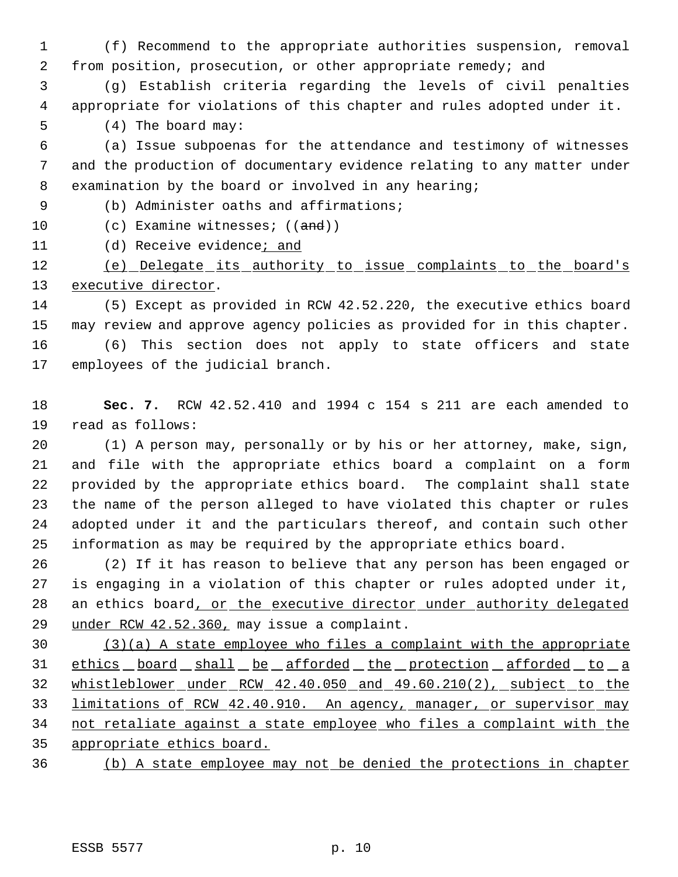(f) Recommend to the appropriate authorities suspension, removal from position, prosecution, or other appropriate remedy; and

 (g) Establish criteria regarding the levels of civil penalties appropriate for violations of this chapter and rules adopted under it.

(4) The board may:

 (a) Issue subpoenas for the attendance and testimony of witnesses and the production of documentary evidence relating to any matter under examination by the board or involved in any hearing;

(b) Administer oaths and affirmations;

10 (c) Examine witnesses; ((and))

(d) Receive evidence; and

 (e) Delegate its authority to issue complaints to the board's 13 executive director.

 (5) Except as provided in RCW 42.52.220, the executive ethics board may review and approve agency policies as provided for in this chapter. (6) This section does not apply to state officers and state

employees of the judicial branch.

 **Sec. 7.** RCW 42.52.410 and 1994 c 154 s 211 are each amended to read as follows:

 (1) A person may, personally or by his or her attorney, make, sign, and file with the appropriate ethics board a complaint on a form provided by the appropriate ethics board. The complaint shall state the name of the person alleged to have violated this chapter or rules adopted under it and the particulars thereof, and contain such other information as may be required by the appropriate ethics board.

 (2) If it has reason to believe that any person has been engaged or is engaging in a violation of this chapter or rules adopted under it, 28 an ethics board, or the executive director under authority delegated under RCW 42.52.360, may issue a complaint.

 (3)(a) A state employee who files a complaint with the appropriate 31 ethics board shall be afforded the protection afforded to a 32 whistleblower under RCW 42.40.050 and 49.60.210(2), subject to the 33 limitations of RCW 42.40.910. An agency, manager, or supervisor may not retaliate against a state employee who files a complaint with the appropriate ethics board.

(b) A state employee may not be denied the protections in chapter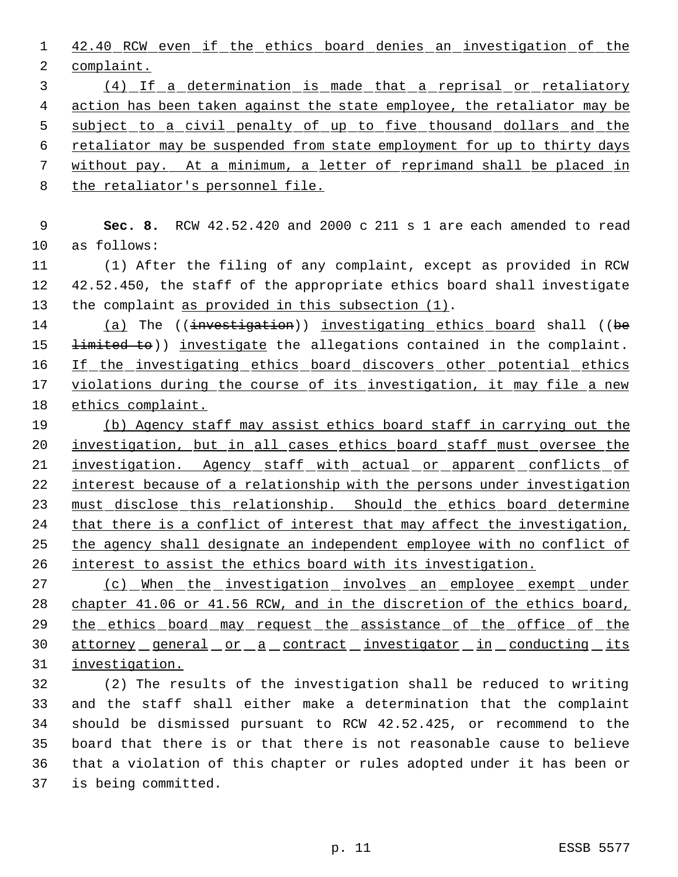42.40 RCW even if the ethics board denies an investigation of the complaint.

 (4) If a determination is made that a reprisal or retaliatory action has been taken against the state employee, the retaliator may be 5 subject to a civil penalty of up to five thousand dollars and the retaliator may be suspended from state employment for up to thirty days without pay. At a minimum, a letter of reprimand shall be placed in the retaliator's personnel file.

 **Sec. 8.** RCW 42.52.420 and 2000 c 211 s 1 are each amended to read as follows:

 (1) After the filing of any complaint, except as provided in RCW 42.52.450, the staff of the appropriate ethics board shall investigate the complaint as provided in this subsection (1).

14 (a) The ((investigation)) investigating ethics board shall ((be 15 <del>limited to</del>)) investigate the allegations contained in the complaint. 16 If the investigating ethics board discovers other potential ethics violations during the course of its investigation, it may file a new ethics complaint.

 (b) Agency staff may assist ethics board staff in carrying out the investigation, but in all cases ethics board staff must oversee the 21 investigation. Agency staff with actual or apparent conflicts of 22 interest because of a relationship with the persons under investigation 23 must disclose this relationship. Should the ethics board determine that there is a conflict of interest that may affect the investigation, the agency shall designate an independent employee with no conflict of interest to assist the ethics board with its investigation.

27 (c) When the investigation involves an employee exempt under chapter 41.06 or 41.56 RCW, and in the discretion of the ethics board, 29 the ethics board may request the assistance of the office of the 30 attorney general or a contract investigator in conducting its investigation.

 (2) The results of the investigation shall be reduced to writing and the staff shall either make a determination that the complaint should be dismissed pursuant to RCW 42.52.425, or recommend to the board that there is or that there is not reasonable cause to believe that a violation of this chapter or rules adopted under it has been or is being committed.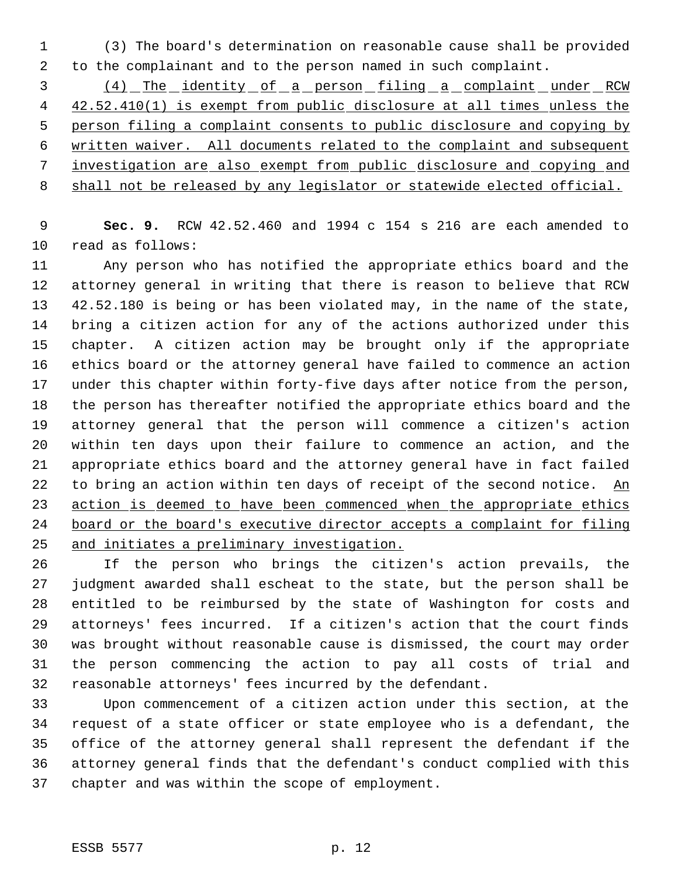(3) The board's determination on reasonable cause shall be provided to the complainant and to the person named in such complaint.

3 (4) The identity of a person filing a complaint under RCW 42.52.410(1) is exempt from public disclosure at all times unless the person filing a complaint consents to public disclosure and copying by written waiver. All documents related to the complaint and subsequent investigation are also exempt from public disclosure and copying and 8 shall not be released by any legislator or statewide elected official.

 **Sec. 9.** RCW 42.52.460 and 1994 c 154 s 216 are each amended to read as follows:

 Any person who has notified the appropriate ethics board and the attorney general in writing that there is reason to believe that RCW 42.52.180 is being or has been violated may, in the name of the state, bring a citizen action for any of the actions authorized under this chapter. A citizen action may be brought only if the appropriate ethics board or the attorney general have failed to commence an action under this chapter within forty-five days after notice from the person, the person has thereafter notified the appropriate ethics board and the attorney general that the person will commence a citizen's action within ten days upon their failure to commence an action, and the appropriate ethics board and the attorney general have in fact failed 22 to bring an action within ten days of receipt of the second notice. An 23 action is deemed to have been commenced when the appropriate ethics board or the board's executive director accepts a complaint for filing and initiates a preliminary investigation.

 If the person who brings the citizen's action prevails, the judgment awarded shall escheat to the state, but the person shall be entitled to be reimbursed by the state of Washington for costs and attorneys' fees incurred. If a citizen's action that the court finds was brought without reasonable cause is dismissed, the court may order the person commencing the action to pay all costs of trial and reasonable attorneys' fees incurred by the defendant.

 Upon commencement of a citizen action under this section, at the request of a state officer or state employee who is a defendant, the office of the attorney general shall represent the defendant if the attorney general finds that the defendant's conduct complied with this chapter and was within the scope of employment.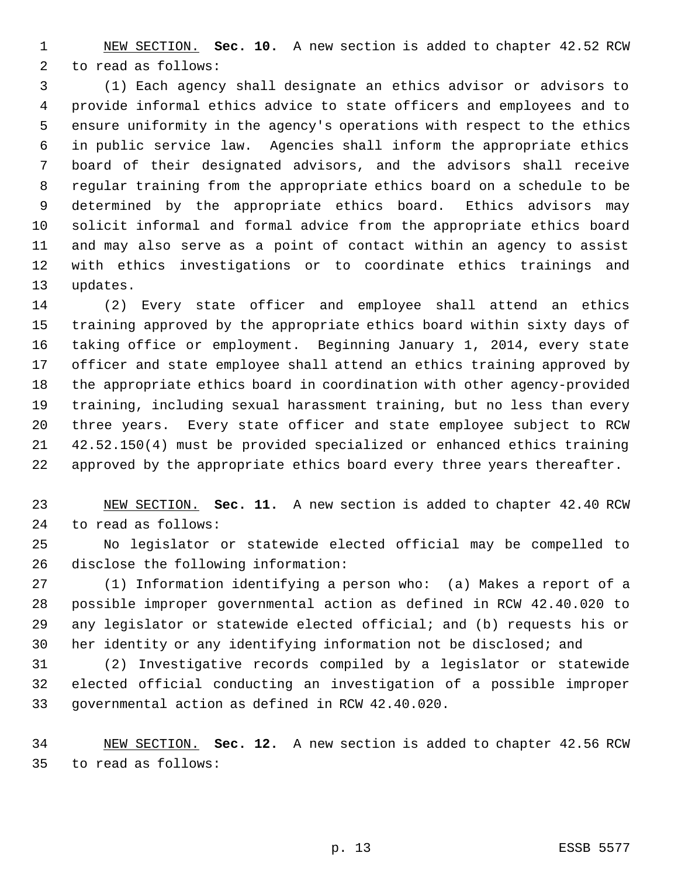NEW SECTION. **Sec. 10.** A new section is added to chapter 42.52 RCW to read as follows:

 (1) Each agency shall designate an ethics advisor or advisors to provide informal ethics advice to state officers and employees and to ensure uniformity in the agency's operations with respect to the ethics in public service law. Agencies shall inform the appropriate ethics board of their designated advisors, and the advisors shall receive regular training from the appropriate ethics board on a schedule to be determined by the appropriate ethics board. Ethics advisors may solicit informal and formal advice from the appropriate ethics board and may also serve as a point of contact within an agency to assist with ethics investigations or to coordinate ethics trainings and updates.

 (2) Every state officer and employee shall attend an ethics training approved by the appropriate ethics board within sixty days of taking office or employment. Beginning January 1, 2014, every state officer and state employee shall attend an ethics training approved by the appropriate ethics board in coordination with other agency-provided training, including sexual harassment training, but no less than every three years. Every state officer and state employee subject to RCW 42.52.150(4) must be provided specialized or enhanced ethics training approved by the appropriate ethics board every three years thereafter.

 NEW SECTION. **Sec. 11.** A new section is added to chapter 42.40 RCW to read as follows:

 No legislator or statewide elected official may be compelled to disclose the following information:

 (1) Information identifying a person who: (a) Makes a report of a possible improper governmental action as defined in RCW 42.40.020 to any legislator or statewide elected official; and (b) requests his or her identity or any identifying information not be disclosed; and

 (2) Investigative records compiled by a legislator or statewide elected official conducting an investigation of a possible improper governmental action as defined in RCW 42.40.020.

 NEW SECTION. **Sec. 12.** A new section is added to chapter 42.56 RCW to read as follows: